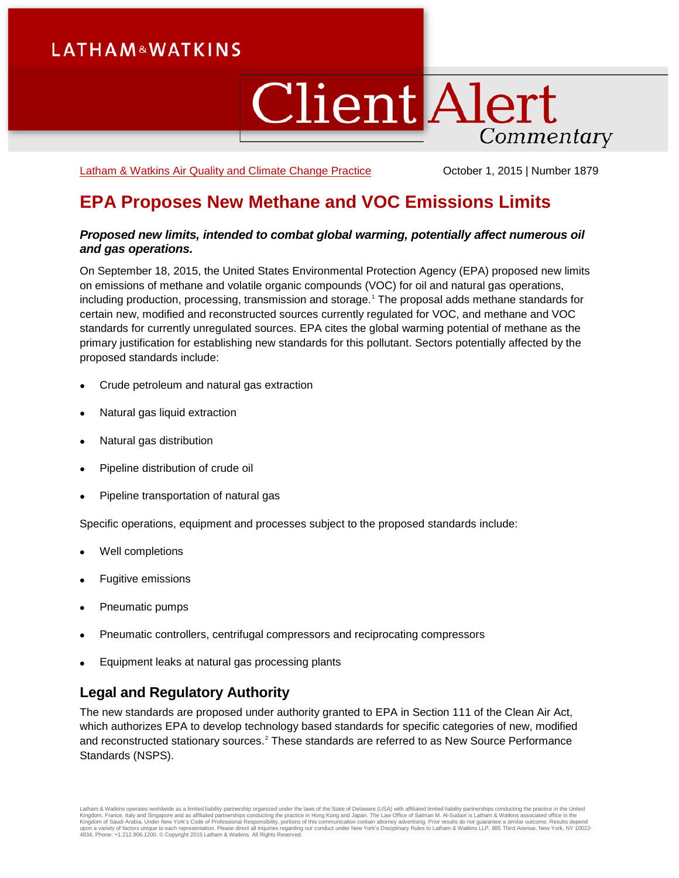# **LATHAM&WATKINS**

# **Client Alert** Commentary

[Latham & Watkins Air Quality and Climate Change Practice](https://www.lw.com/practices/AirQualityAndClimateChange) **Canadian Corporation** October 1, 2015 | Number 1879

## **EPA Proposes New Methane and VOC Emissions Limits**

## *Proposed new limits, intended to combat global warming, potentially affect numerous oil and gas operations.*

On September 18, 2015, the United States Environmental Protection Agency (EPA) proposed new limits on emissions of methane and volatile organic compounds (VOC) for oil and natural gas operations, including production, processing, transmission and storage.<sup>[1](#page-3-0)</sup> The proposal adds methane standards for certain new, modified and reconstructed sources currently regulated for VOC, and methane and VOC standards for currently unregulated sources. EPA cites the global warming potential of methane as the primary justification for establishing new standards for this pollutant. Sectors potentially affected by the proposed standards include:

- Crude petroleum and natural gas extraction
- Natural gas liquid extraction
- Natural gas distribution
- Pipeline distribution of crude oil
- Pipeline transportation of natural gas

Specific operations, equipment and processes subject to the proposed standards include:

- Well completions
- Fugitive emissions
- Pneumatic pumps
- Pneumatic controllers, centrifugal compressors and reciprocating compressors
- Equipment leaks at natural gas processing plants

## **Legal and Regulatory Authority**

The new standards are proposed under authority granted to EPA in Section 111 of the Clean Air Act, which authorizes EPA to develop technology based standards for specific categories of new, modified and reconstructed stationary sources.<sup>[2](#page-3-1)</sup> These standards are referred to as New Source Performance Standards (NSPS).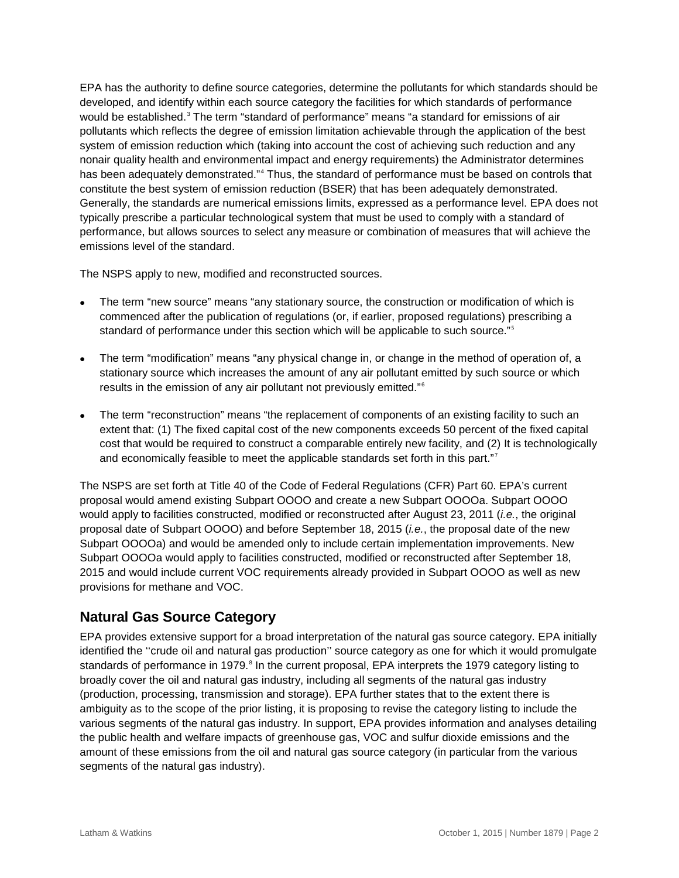EPA has the authority to define source categories, determine the pollutants for which standards should be developed, and identify within each source category the facilities for which standards of performance would be established.<sup>[3](#page-3-2)</sup> The term "standard of performance" means "a standard for emissions of air pollutants which reflects the degree of emission limitation achievable through the application of the best system of emission reduction which (taking into account the cost of achieving such reduction and any nonair quality health and environmental impact and energy requirements) the Administrator determines has been adequately demonstrated."<sup>[4](#page-3-3)</sup> Thus, the standard of performance must be based on controls that constitute the best system of emission reduction (BSER) that has been adequately demonstrated. Generally, the standards are numerical emissions limits, expressed as a performance level. EPA does not typically prescribe a particular technological system that must be used to comply with a standard of performance, but allows sources to select any measure or combination of measures that will achieve the emissions level of the standard.

The NSPS apply to new, modified and reconstructed sources.

- The term "new source" means "any stationary source, the construction or modification of which is commenced after the publication of regulations (or, if earlier, proposed regulations) prescribing a standard of performance under this section which will be applicable to such source."<sup>[5](#page-3-4)</sup>
- The term "modification" means "any physical change in, or change in the method of operation of, a stationary source which increases the amount of any air pollutant emitted by such source or which results in the emission of any air pollutant not previously emitted." [6](#page-3-5)
- The term "reconstruction" means "the replacement of components of an existing facility to such an extent that: (1) The fixed capital cost of the new components exceeds 50 percent of the fixed capital cost that would be required to construct a comparable entirely new facility, and (2) It is technologically and economically feasible to meet the applicable standards set forth in this part."<sup>[7](#page-3-6)</sup>

The NSPS are set forth at Title 40 of the Code of Federal Regulations (CFR) Part 60. EPA's current proposal would amend existing Subpart OOOO and create a new Subpart OOOOa. Subpart OOOO would apply to facilities constructed, modified or reconstructed after August 23, 2011 (*i.e.*, the original proposal date of Subpart OOOO) and before September 18, 2015 (*i.e.*, the proposal date of the new Subpart OOOOa) and would be amended only to include certain implementation improvements. New Subpart OOOOa would apply to facilities constructed, modified or reconstructed after September 18, 2015 and would include current VOC requirements already provided in Subpart OOOO as well as new provisions for methane and VOC.

## **Natural Gas Source Category**

EPA provides extensive support for a broad interpretation of the natural gas source category. EPA initially identified the ''crude oil and natural gas production'' source category as one for which it would promulgate standards of performance in 1979.<sup>[8](#page-3-7)</sup> In the current proposal, EPA interprets the 1979 category listing to broadly cover the oil and natural gas industry, including all segments of the natural gas industry (production, processing, transmission and storage). EPA further states that to the extent there is ambiguity as to the scope of the prior listing, it is proposing to revise the category listing to include the various segments of the natural gas industry. In support, EPA provides information and analyses detailing the public health and welfare impacts of greenhouse gas, VOC and sulfur dioxide emissions and the amount of these emissions from the oil and natural gas source category (in particular from the various segments of the natural gas industry).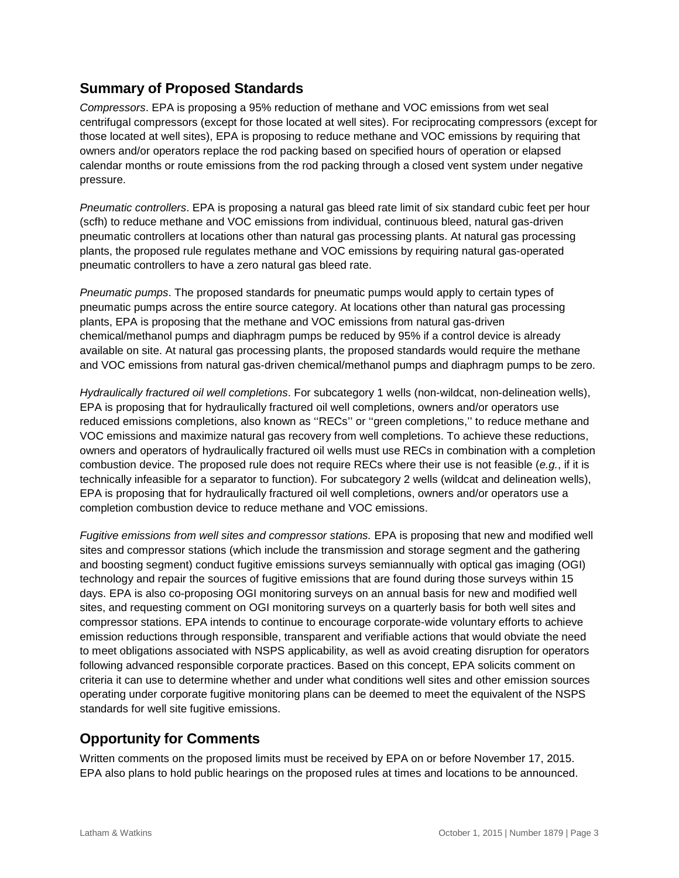## **Summary of Proposed Standards**

*Compressors*. EPA is proposing a 95% reduction of methane and VOC emissions from wet seal centrifugal compressors (except for those located at well sites). For reciprocating compressors (except for those located at well sites), EPA is proposing to reduce methane and VOC emissions by requiring that owners and/or operators replace the rod packing based on specified hours of operation or elapsed calendar months or route emissions from the rod packing through a closed vent system under negative pressure.

*Pneumatic controllers*. EPA is proposing a natural gas bleed rate limit of six standard cubic feet per hour (scfh) to reduce methane and VOC emissions from individual, continuous bleed, natural gas-driven pneumatic controllers at locations other than natural gas processing plants. At natural gas processing plants, the proposed rule regulates methane and VOC emissions by requiring natural gas-operated pneumatic controllers to have a zero natural gas bleed rate.

*Pneumatic pumps*. The proposed standards for pneumatic pumps would apply to certain types of pneumatic pumps across the entire source category. At locations other than natural gas processing plants, EPA is proposing that the methane and VOC emissions from natural gas-driven chemical/methanol pumps and diaphragm pumps be reduced by 95% if a control device is already available on site. At natural gas processing plants, the proposed standards would require the methane and VOC emissions from natural gas-driven chemical/methanol pumps and diaphragm pumps to be zero.

*Hydraulically fractured oil well completions*. For subcategory 1 wells (non-wildcat, non-delineation wells), EPA is proposing that for hydraulically fractured oil well completions, owners and/or operators use reduced emissions completions, also known as ''RECs'' or ''green completions,'' to reduce methane and VOC emissions and maximize natural gas recovery from well completions. To achieve these reductions, owners and operators of hydraulically fractured oil wells must use RECs in combination with a completion combustion device. The proposed rule does not require RECs where their use is not feasible (*e.g.*, if it is technically infeasible for a separator to function). For subcategory 2 wells (wildcat and delineation wells), EPA is proposing that for hydraulically fractured oil well completions, owners and/or operators use a completion combustion device to reduce methane and VOC emissions.

*Fugitive emissions from well sites and compressor stations.* EPA is proposing that new and modified well sites and compressor stations (which include the transmission and storage segment and the gathering and boosting segment) conduct fugitive emissions surveys semiannually with optical gas imaging (OGI) technology and repair the sources of fugitive emissions that are found during those surveys within 15 days. EPA is also co-proposing OGI monitoring surveys on an annual basis for new and modified well sites, and requesting comment on OGI monitoring surveys on a quarterly basis for both well sites and compressor stations. EPA intends to continue to encourage corporate-wide voluntary efforts to achieve emission reductions through responsible, transparent and verifiable actions that would obviate the need to meet obligations associated with NSPS applicability, as well as avoid creating disruption for operators following advanced responsible corporate practices. Based on this concept, EPA solicits comment on criteria it can use to determine whether and under what conditions well sites and other emission sources operating under corporate fugitive monitoring plans can be deemed to meet the equivalent of the NSPS standards for well site fugitive emissions.

## **Opportunity for Comments**

Written comments on the proposed limits must be received by EPA on or before November 17, 2015. EPA also plans to hold public hearings on the proposed rules at times and locations to be announced.